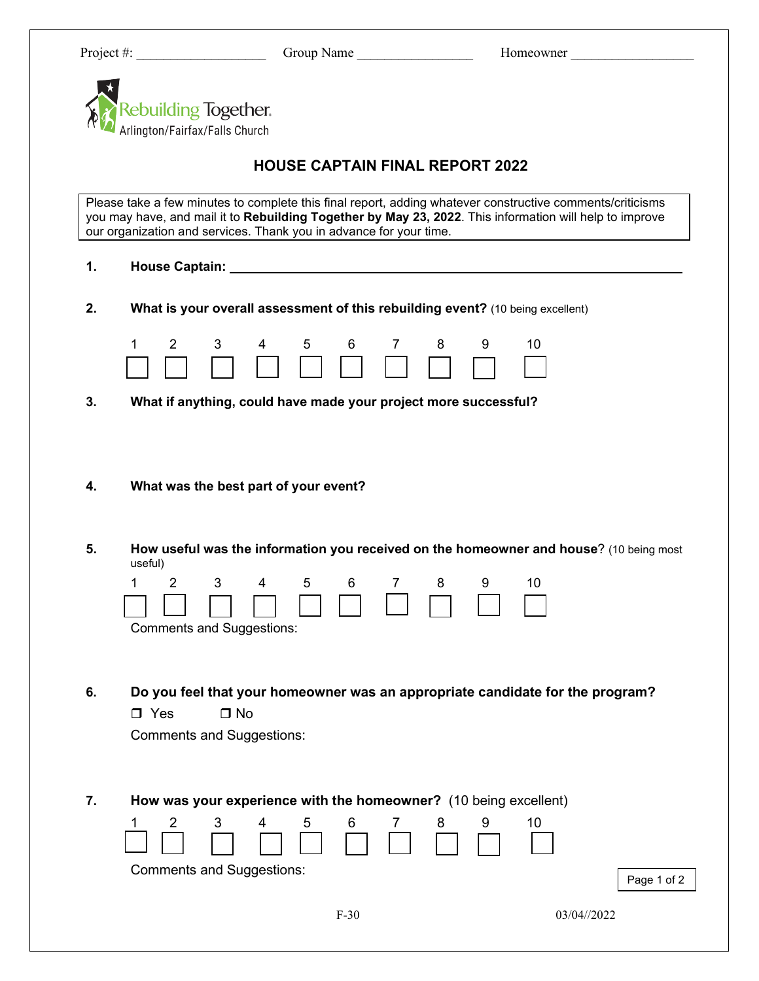| Project #:                                             | Group Name                                                                                                      | Homeowner                                                                                                                                                                                                            |
|--------------------------------------------------------|-----------------------------------------------------------------------------------------------------------------|----------------------------------------------------------------------------------------------------------------------------------------------------------------------------------------------------------------------|
|                                                        |                                                                                                                 |                                                                                                                                                                                                                      |
| Rebuilding Together.<br>Arlington/Fairfax/Falls Church |                                                                                                                 |                                                                                                                                                                                                                      |
|                                                        |                                                                                                                 |                                                                                                                                                                                                                      |
|                                                        | <b>HOUSE CAPTAIN FINAL REPORT 2022</b>                                                                          |                                                                                                                                                                                                                      |
|                                                        | our organization and services. Thank you in advance for your time.                                              | Please take a few minutes to complete this final report, adding whatever constructive comments/criticisms<br>you may have, and mail it to Rebuilding Together by May 23, 2022. This information will help to improve |
| 1.                                                     | House Captain: New York Captain and Service Captain and Service Captain and Service Captain and Service Captain |                                                                                                                                                                                                                      |
|                                                        |                                                                                                                 |                                                                                                                                                                                                                      |
| 2.                                                     | What is your overall assessment of this rebuilding event? (10 being excellent)                                  |                                                                                                                                                                                                                      |
| 1<br>$\overline{2}$                                    | 6<br>3<br>4<br>5 <sub>1</sub><br>7                                                                              | 10<br>8<br>9                                                                                                                                                                                                         |
|                                                        |                                                                                                                 |                                                                                                                                                                                                                      |
| 3.                                                     | What if anything, could have made your project more successful?                                                 |                                                                                                                                                                                                                      |
|                                                        |                                                                                                                 |                                                                                                                                                                                                                      |
|                                                        |                                                                                                                 |                                                                                                                                                                                                                      |
| 4.                                                     | What was the best part of your event?                                                                           |                                                                                                                                                                                                                      |
|                                                        |                                                                                                                 |                                                                                                                                                                                                                      |
| 5.                                                     |                                                                                                                 | How useful was the information you received on the homeowner and house? (10 being most                                                                                                                               |
| useful)                                                |                                                                                                                 |                                                                                                                                                                                                                      |
| $\overline{2}$<br>1.                                   | 3<br>4<br>5<br>6<br>7                                                                                           | 8<br>9<br>10                                                                                                                                                                                                         |
|                                                        | <b>Comments and Suggestions:</b>                                                                                |                                                                                                                                                                                                                      |
|                                                        |                                                                                                                 |                                                                                                                                                                                                                      |
|                                                        |                                                                                                                 |                                                                                                                                                                                                                      |
| 6.                                                     |                                                                                                                 | Do you feel that your homeowner was an appropriate candidate for the program?                                                                                                                                        |
| $\Box$ Yes                                             | $\Box$ No<br><b>Comments and Suggestions:</b>                                                                   |                                                                                                                                                                                                                      |
|                                                        |                                                                                                                 |                                                                                                                                                                                                                      |
|                                                        |                                                                                                                 |                                                                                                                                                                                                                      |
| 7.                                                     | How was your experience with the homeowner? (10 being excellent)                                                |                                                                                                                                                                                                                      |
| 2                                                      | 3<br>5<br>6<br>4<br>7                                                                                           | 10<br>8<br>9                                                                                                                                                                                                         |
|                                                        | <b>Comments and Suggestions:</b>                                                                                |                                                                                                                                                                                                                      |
|                                                        |                                                                                                                 | Page 1 of 2                                                                                                                                                                                                          |
|                                                        | $F-30$                                                                                                          | 03/04//2022                                                                                                                                                                                                          |